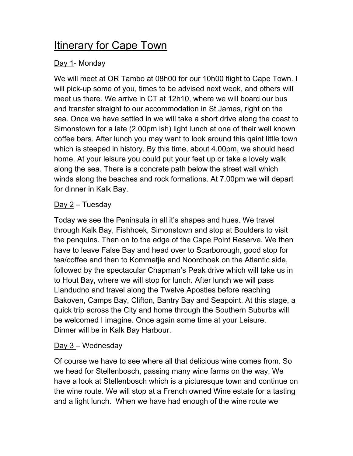# Itinerary for Cape Town

# Day 1- Monday

We will meet at OR Tambo at 08h00 for our 10h00 flight to Cape Town. I will pick-up some of you, times to be advised next week, and others will meet us there. We arrive in CT at 12h10, where we will board our bus and transfer straight to our accommodation in St James, right on the sea. Once we have settled in we will take a short drive along the coast to Simonstown for a late (2.00pm ish) light lunch at one of their well known coffee bars. After lunch you may want to look around this qaint little town which is steeped in history. By this time, about 4.00pm, we should head home. At your leisure you could put your feet up or take a lovely walk along the sea. There is a concrete path below the street wall which winds along the beaches and rock formations. At 7.00pm we will depart for dinner in Kalk Bay.

## $Day 2 - Tuesday$

Today we see the Peninsula in all it's shapes and hues. We travel through Kalk Bay, Fishhoek, Simonstown and stop at Boulders to visit the penquins. Then on to the edge of the Cape Point Reserve. We then have to leave False Bay and head over to Scarborough, good stop for tea/coffee and then to Kommetjie and Noordhoek on the Atlantic side, followed by the spectacular Chapman's Peak drive which will take us in to Hout Bay, where we will stop for lunch. After lunch we will pass Llandudno and travel along the Twelve Apostles before reaching Bakoven, Camps Bay, Clifton, Bantry Bay and Seapoint. At this stage, a quick trip across the City and home through the Southern Suburbs will be welcomed I imagine. Once again some time at your Leisure. Dinner will be in Kalk Bay Harbour.

#### Day 3 – Wednesday

Of course we have to see where all that delicious wine comes from. So we head for Stellenbosch, passing many wine farms on the way, We have a look at Stellenbosch which is a picturesque town and continue on the wine route. We will stop at a French owned Wine estate for a tasting and a light lunch. When we have had enough of the wine route we